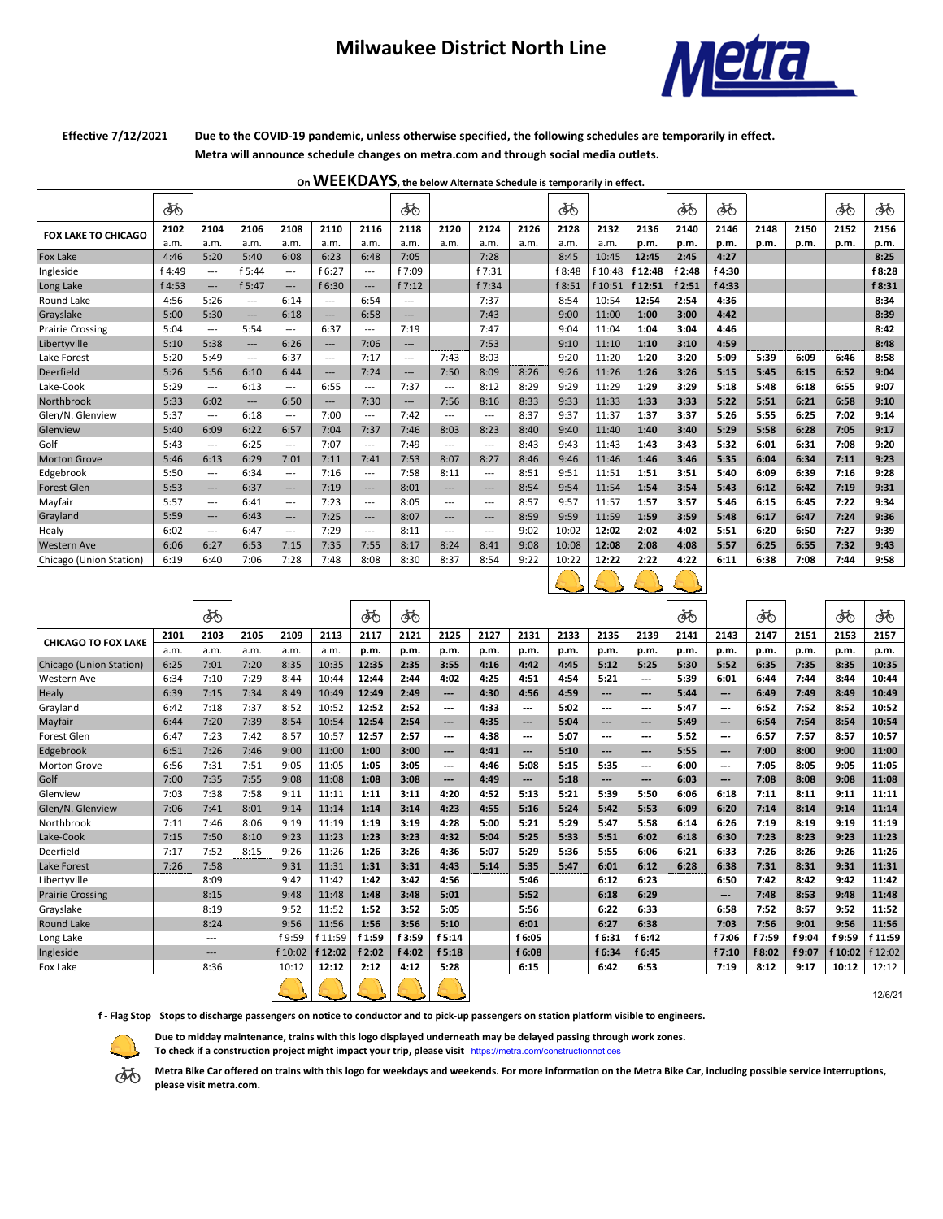## **Milwaukee District North Line**



## **Effective 7/12/2021**

**Due to the COVID-19 pandemic, unless otherwise specified, the following schedules are temporarily in effect. Metra will announce schedule changes on metra.com and through social media outlets.**

**On WEEKDAYS, the below Alternate Schedule is temporarily in effect.** 

|                            | ණ      |                   |          |                   |          |          | ණි                                     |          |                        |      | ණ      |           |         | ණ      | ණි     |      |      | ණි   | ෯      |
|----------------------------|--------|-------------------|----------|-------------------|----------|----------|----------------------------------------|----------|------------------------|------|--------|-----------|---------|--------|--------|------|------|------|--------|
| <b>FOX LAKE TO CHICAGO</b> | 2102   | 2104              | 2106     | 2108              | 2110     | 2116     | 2118                                   | 2120     | 2124                   | 2126 | 2128   | 2132      | 2136    | 2140   | 2146   | 2148 | 2150 | 2152 | 2156   |
|                            | a.m.   | a.m.              | a.m.     | a.m.              | a.m.     | a.m.     | a.m.                                   | a.m.     | a.m.                   | a.m. | a.m.   | a.m.      | p.m.    | p.m.   | p.m.   | p.m. | p.m. | p.m. | p.m.   |
| Fox Lake                   | 4:46   | 5:20              | 5:40     | 6:08              | 6:23     | 6:48     | 7:05                                   |          | 7:28                   |      | 8:45   | 10:45     | 12:45   | 2:45   | 4:27   |      |      |      | 8:25   |
| Ingleside                  | f 4:49 | $---$             | f 5:44   | $\cdots$          | f 6:27   | ---      | f 7:09                                 |          | f 7:31                 |      | f 8:48 | f 10:48   | f 12:48 | f 2:48 | f 4:30 |      |      |      | f 8:28 |
| Long Lake                  | f 4:53 | $\qquad \qquad -$ | f 5:47   | $\qquad \qquad -$ | f 6:30   | ---      | f7:12                                  |          | f 7:34                 |      | f 8:51 | $f$ 10:51 | f 12:51 | f 2:51 | f 4:33 |      |      |      | f 8:31 |
| <b>Round Lake</b>          | 4:56   | 5:26              | $---$    | 6:14              | $---$    | 6:54     | $---$                                  |          | 7:37                   |      | 8:54   | 10:54     | 12:54   | 2:54   | 4:36   |      |      |      | 8:34   |
| Grayslake                  | 5:00   | 5:30              | $---$    | 6:18              | $---$    | 6:58     | $---$                                  |          | 7:43                   |      | 9:00   | 11:00     | 1:00    | 3:00   | 4:42   |      |      |      | 8:39   |
| <b>Prairie Crossing</b>    | 5:04   | $---$             | 5:54     | $---$             | 6:37     | ---      | 7:19                                   |          | 7:47                   |      | 9:04   | 11:04     | 1:04    | 3:04   | 4:46   |      |      |      | 8:42   |
| Libertyville               | 5:10   | 5:38              | $---$    | 6:26              | $---$    | 7:06     | ---                                    |          | 7:53                   |      | 9:10   | 11:10     | 1:10    | 3:10   | 4:59   |      |      |      | 8:48   |
| Lake Forest                | 5:20   | 5:49              | $\cdots$ | 6:37              | $\cdots$ | 7:17     | $\cdots$                               | 7:43     | 8:03                   |      | 9:20   | 11:20     | 1:20    | 3:20   | 5:09   | 5:39 | 6:09 | 6:46 | 8:58   |
| <b>Deerfield</b>           | 5:26   | 5:56              | 6:10     | 6:44              | $---$    | 7:24     | $\cdots$                               | 7:50     | 8:09                   | 8:26 | 9:26   | 11:26     | 1:26    | 3:26   | 5:15   | 5:45 | 6:15 | 6:52 | 9:04   |
| Lake-Cook                  | 5:29   | $---$             | 6:13     | $\cdots$          | 6:55     | ---      | 7:37                                   | $\cdots$ | 8:12                   | 8:29 | 9:29   | 11:29     | 1:29    | 3:29   | 5:18   | 5:48 | 6:18 | 6:55 | 9:07   |
| Northbrook                 | 5:33   | 6:02              | $\cdots$ | 6:50              | $---$    | 7:30     | $\hspace{1.5cm} \ldots \hspace{1.5cm}$ | 7:56     | 8:16                   | 8:33 | 9:33   | 11:33     | 1:33    | 3:33   | 5:22   | 5:51 | 6:21 | 6:58 | 9:10   |
| Glen/N. Glenview           | 5:37   | $---$             | 6:18     | $---$             | 7:00     | $---$    | 7:42                                   | $---$    | $---$                  | 8:37 | 9:37   | 11:37     | 1:37    | 3:37   | 5:26   | 5:55 | 6:25 | 7:02 | 9:14   |
| Glenview                   | 5:40   | 6:09              | 6:22     | 6:57              | 7:04     | 7:37     | 7:46                                   | 8:03     | 8:23                   | 8:40 | 9:40   | 11:40     | 1:40    | 3:40   | 5:29   | 5:58 | 6:28 | 7:05 | 9:17   |
| Golf                       | 5:43   | $---$             | 6:25     | $\cdots$          | 7:07     | $---$    | 7:49                                   | $---$    | ---                    | 8:43 | 9:43   | 11:43     | 1:43    | 3:43   | 5:32   | 6:01 | 6:31 | 7:08 | 9:20   |
| <b>Morton Grove</b>        | 5:46   | 6:13              | 6:29     | 7:01              | 7:11     | 7:41     | 7:53                                   | 8:07     | 8:27                   | 8:46 | 9:46   | 11:46     | 1:46    | 3:46   | 5:35   | 6:04 | 6:34 | 7:11 | 9:23   |
| Edgebrook                  | 5:50   | $---$             | 6:34     | $---$             | 7:16     | $---$    | 7:58                                   | 8:11     | $---$                  | 8:51 | 9:51   | 11:51     | 1:51    | 3:51   | 5:40   | 6:09 | 6:39 | 7:16 | 9:28   |
| <b>Forest Glen</b>         | 5:53   | ---               | 6:37     | ---               | 7:19     | ---      | 8:01                                   | $---$    | $---$                  | 8:54 | 9:54   | 11:54     | 1:54    | 3:54   | 5:43   | 6:12 | 6:42 | 7:19 | 9:31   |
| Mayfair                    | 5:57   | $---$             | 6:41     | $---$             | 7:23     | $---$    | 8:05                                   | $---$    | $---$                  | 8:57 | 9:57   | 11:57     | 1:57    | 3:57   | 5:46   | 6:15 | 6:45 | 7:22 | 9:34   |
| Grayland                   | 5:59   | $---$             | 6:43     | $---$             | 7:25     | $---$    | 8:07                                   | $---$    | $---$                  | 8:59 | 9:59   | 11:59     | 1:59    | 3:59   | 5:48   | 6:17 | 6:47 | 7:24 | 9:36   |
| Healy                      | 6:02   | $\cdots$          | 6:47     | $\cdots$          | 7:29     | $\cdots$ | 8:11                                   | $\cdots$ | $\qquad \qquad \cdots$ | 9:02 | 10:02  | 12:02     | 2:02    | 4:02   | 5:51   | 6:20 | 6:50 | 7:27 | 9:39   |
| <b>Western Ave</b>         | 6:06   | 6:27              | 6:53     | 7:15              | 7:35     | 7:55     | 8:17                                   | 8:24     | 8:41                   | 9:08 | 10:08  | 12:08     | 2:08    | 4:08   | 5:57   | 6:25 | 6:55 | 7:32 | 9:43   |
| Chicago (Union Station)    | 6:19   | 6:40              | 7:06     | 7:28              | 7:48     | 8:08     | 8:30                                   | 8:37     | 8:54                   | 9:22 | 10:22  | 12:22     | 2:22    | 4:22   | 6:11   | 6:38 | 7:08 | 7:44 | 9:58   |



|                                |      | ණි                |      |         |         | ණි     | ෯      |       |      |                          |      |                          |        | ණ    |        | ණි     |        | ණ       | ණි      |
|--------------------------------|------|-------------------|------|---------|---------|--------|--------|-------|------|--------------------------|------|--------------------------|--------|------|--------|--------|--------|---------|---------|
| <b>CHICAGO TO FOX LAKE</b>     | 2101 | 2103              | 2105 | 2109    | 2113    | 2117   | 2121   | 2125  | 2127 | 2131                     | 2133 | 2135                     | 2139   | 2141 | 2143   | 2147   | 2151   | 2153    | 2157    |
|                                | a.m. | a.m.              | a.m. | a.m.    | a.m.    | p.m.   | p.m.   | p.m.  | p.m. | p.m.                     | p.m. | p.m.                     | p.m.   | p.m. | p.m.   | p.m.   | p.m.   | p.m.    | p.m.    |
| <b>Chicago (Union Station)</b> | 6:25 | 7:01              | 7:20 | 8:35    | 10:35   | 12:35  | 2:35   | 3:55  | 4:16 | 4:42                     | 4:45 | 5:12                     | 5:25   | 5:30 | 5:52   | 6:35   | 7:35   | 8:35    | 10:35   |
| <b>Western Ave</b>             | 6:34 | 7:10              | 7:29 | 8:44    | 10:44   | 12:44  | 2:44   | 4:02  | 4:25 | 4:51                     | 4:54 | 5:21                     | ---    | 5:39 | 6:01   | 6:44   | 7:44   | 8:44    | 10:44   |
| <b>Healy</b>                   | 6:39 | 7:15              | 7:34 | 8:49    | 10:49   | 12:49  | 2:49   | ---   | 4:30 | 4:56                     | 4:59 | ---                      | ---    | 5:44 | ---    | 6:49   | 7:49   | 8:49    | 10:49   |
| Grayland                       | 6:42 | 7:18              | 7:37 | 8:52    | 10:52   | 12:52  | 2:52   | ---   | 4:33 | ---                      | 5:02 | ---                      | ---    | 5:47 | ---    | 6:52   | 7:52   | 8:52    | 10:52   |
| Mayfair                        | 6:44 | 7:20              | 7:39 | 8:54    | 10:54   | 12:54  | 2:54   | $---$ | 4:35 | $---$                    | 5:04 | $\overline{\phantom{a}}$ | ---    | 5:49 | ---    | 6:54   | 7:54   | 8:54    | 10:54   |
| <b>Forest Glen</b>             | 6:47 | 7:23              | 7:42 | 8:57    | 10:57   | 12:57  | 2:57   | ---   | 4:38 | $\hspace{0.05cm} \ldots$ | 5:07 | ---                      | ---    | 5:52 | $---$  | 6:57   | 7:57   | 8:57    | 10:57   |
| Edgebrook                      | 6:51 | 7:26              | 7:46 | 9:00    | 11:00   | 1:00   | 3:00   | ---   | 4:41 | ---                      | 5:10 | ---                      | ---    | 5:55 | ---    | 7:00   | 8:00   | 9:00    | 11:00   |
| <b>Morton Grove</b>            | 6:56 | 7:31              | 7:51 | 9:05    | 11:05   | 1:05   | 3:05   | ---   | 4:46 | 5:08                     | 5:15 | 5:35                     | ---    | 6:00 | $---$  | 7:05   | 8:05   | 9:05    | 11:05   |
| Golf                           | 7:00 | 7:35              | 7:55 | 9:08    | 11:08   | 1:08   | 3:08   | ---   | 4:49 | ---                      | 5:18 | ---                      | ---    | 6:03 | ---    | 7:08   | 8:08   | 9:08    | 11:08   |
| Glenview                       | 7:03 | 7:38              | 7:58 | 9:11    | 11:11   | 1:11   | 3:11   | 4:20  | 4:52 | 5:13                     | 5:21 | 5:39                     | 5:50   | 6:06 | 6:18   | 7:11   | 8:11   | 9:11    | 11:11   |
| Glen/N. Glenview               | 7:06 | 7:41              | 8:01 | 9:14    | 11:14   | 1:14   | 3:14   | 4:23  | 4:55 | 5:16                     | 5:24 | 5:42                     | 5:53   | 6:09 | 6:20   | 7:14   | 8:14   | 9:14    | 11:14   |
| Northbrook                     | 7:11 | 7:46              | 8:06 | 9:19    | 11:19   | 1:19   | 3:19   | 4:28  | 5:00 | 5:21                     | 5:29 | 5:47                     | 5:58   | 6:14 | 6:26   | 7:19   | 8:19   | 9:19    | 11:19   |
| Lake-Cook                      | 7:15 | 7:50              | 8:10 | 9:23    | 11:23   | 1:23   | 3:23   | 4:32  | 5:04 | 5:25                     | 5:33 | 5:51                     | 6:02   | 6:18 | 6:30   | 7:23   | 8:23   | 9:23    | 11:23   |
| Deerfield                      | 7:17 | 7:52              | 8:15 | 9:26    | 11:26   | 1:26   | 3:26   | 4:36  | 5:07 | 5:29                     | 5:36 | 5:55                     | 6:06   | 6:21 | 6:33   | 7:26   | 8:26   | 9:26    | 11:26   |
| <b>Lake Forest</b>             | 7:26 | 7:58              |      | 9:31    | 11:31   | 1:31   | 3:31   | 4:43  | 5:14 | 5:35                     | 5:47 | 6:01                     | 6:12   | 6:28 | 6:38   | 7:31   | 8:31   | 9:31    | 11:31   |
| Libertyville                   |      | 8:09              |      | 9:42    | 11:42   | 1:42   | 3:42   | 4:56  |      | 5:46                     |      | 6:12                     | 6:23   |      | 6:50   | 7:42   | 8:42   | 9:42    | 11:42   |
| <b>Prairie Crossing</b>        |      | 8:15              |      | 9:48    | 11:48   | 1:48   | 3:48   | 5:01  |      | 5:52                     |      | 6:18                     | 6:29   |      | $---$  | 7:48   | 8:53   | 9:48    | 11:48   |
| Grayslake                      |      | 8:19              |      | 9:52    | 11:52   | 1:52   | 3:52   | 5:05  |      | 5:56                     |      | 6:22                     | 6:33   |      | 6:58   | 7:52   | 8:57   | 9:52    | 11:52   |
| <b>Round Lake</b>              |      | 8:24              |      | 9:56    | 11:56   | 1:56   | 3:56   | 5:10  |      | 6:01                     |      | 6:27                     | 6:38   |      | 7:03   | 7:56   | 9:01   | 9:56    | 11:56   |
| Long Lake                      |      | $---$             |      | f 9:59  | f 11:59 | f 1:59 | f 3:59 | f5:14 |      | f 6:05                   |      | f 6:31                   | f 6:42 |      | f 7:06 | f 7:59 | f 9:04 | f 9:59  | f 11:59 |
| Ingleside                      |      | $\qquad \qquad -$ |      | f 10:02 | f 12:02 | f 2:02 | f 4:02 | f5:18 |      | f 6:08                   |      | f 6:34                   | f 6:45 |      | f 7:10 | f 8:02 | f 9:07 | f 10:02 | f 12:02 |
| Fox Lake                       |      | 8:36              |      | 10:12   | 12:12   | 2:12   | 4:12   | 5:28  |      | 6:15                     |      | 6:42                     | 6:53   |      | 7:19   | 8:12   | 9:17   | 10:12   | 12:12   |
|                                |      |                   |      |         |         |        |        |       |      |                          |      |                          |        |      |        |        |        |         | 12/6/21 |

12/6/21

**f - Flag Stop Stops to discharge passengers on notice to conductor and to pick-up passengers on station platform visible to engineers.** 

**To check if a construction project might impact your trip, please visit** https://metra.com/constructionnotices

**Due to midday maintenance, trains with this logo displayed underneath may be delayed passing through work zones.** 



**Metra Bike Car offered on trains with this logo for weekdays and weekends. For more information on the Metra Bike Car, including possible service interruptions, please visit metra.com.**